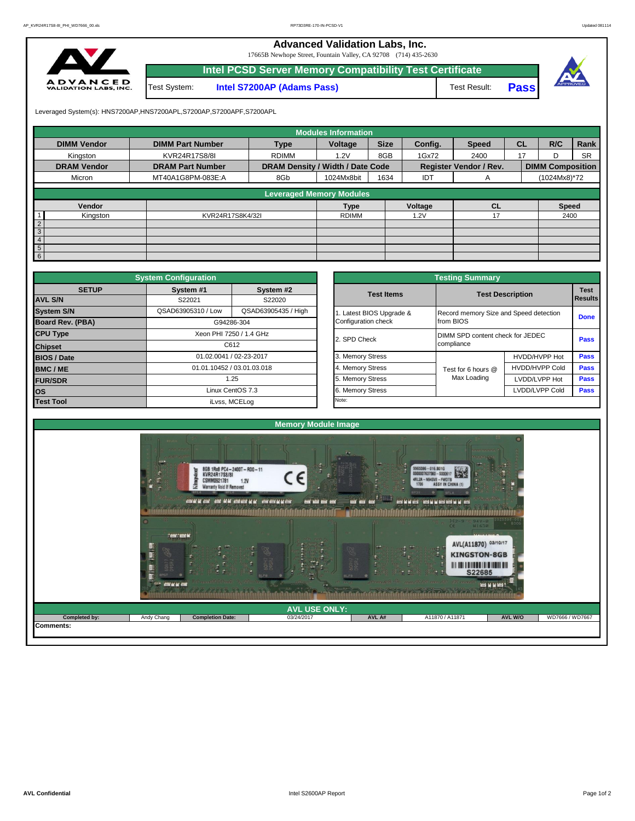**Advanced Validation Labs, Inc.** 

17665B Newhope Street, Fountain Valley, CA 92708 (714) 435-2630



|              | Intel PCSD Server Memory Compatibility Test Certificate |              |             |  |
|--------------|---------------------------------------------------------|--------------|-------------|--|
| Test System: | <b>Intel S7200AP (Adams Pass)</b>                       | Test Result: | <b>Pass</b> |  |

Leveraged System(s): HNS7200AP,HNS7200APL,S7200AP,S7200APF,S7200APL

|                    |                         |                                  | <b>Modules Information</b> |             |         |                               |           |                         |              |  |
|--------------------|-------------------------|----------------------------------|----------------------------|-------------|---------|-------------------------------|-----------|-------------------------|--------------|--|
| <b>DIMM Vendor</b> | <b>DIMM Part Number</b> | <b>Type</b>                      | Voltage                    | <b>Size</b> | Config. | <b>Speed</b>                  | <b>CL</b> | R/C                     | Rank         |  |
| Kingston           | KVR24R17S8/8I           | <b>RDIMM</b>                     | 1.2V                       | 8GB         | 1Gx72   | 2400                          | 17        | D                       | <b>SR</b>    |  |
| <b>DRAM Vendor</b> | <b>DRAM Part Number</b> | DRAM Density / Width / Date Code |                            |             |         | <b>Register Vendor / Rev.</b> |           | <b>DIMM Composition</b> |              |  |
| Micron             | MT40A1G8PM-083E:A       | 8Gb                              | 1024Mx8bit                 | 1634        | IDT     | A                             |           |                         | (1024Mx8)*72 |  |
|                    |                         | <b>Leveraged Memory Modules</b>  |                            |             |         |                               |           |                         |              |  |
| Vendor             |                         |                                  | <b>Type</b>                |             | Voltage | <b>CL</b>                     |           | <b>Speed</b>            |              |  |
| Kingston           | KVR24R17S8K4/32I        |                                  | <b>RDIMM</b>               |             | 1.2V    | 17                            |           | 2400                    |              |  |
| $\frac{2}{3}$      |                         |                                  |                            |             |         |                               |           |                         |              |  |
|                    |                         |                                  |                            |             |         |                               |           |                         |              |  |
| $\overline{4}$     |                         |                                  |                            |             |         |                               |           |                         |              |  |
| 5 <sub>5</sub>     |                         |                                  |                            |             |         |                               |           |                         |              |  |
| 6                  |                         |                                  |                            |             |         |                               |           |                         |              |  |

|                    | <b>System Configuration</b> |                            |                       | <b>Testing Summary</b>                 |                                  |             |  |  |
|--------------------|-----------------------------|----------------------------|-----------------------|----------------------------------------|----------------------------------|-------------|--|--|
| <b>SETUP</b>       | System #1                   | System #2                  | <b>Test Items</b>     |                                        | <b>Test Description</b>          | <b>Test</b> |  |  |
| <b>AVL S/N</b>     | S22021                      | S22020                     |                       |                                        | Results                          |             |  |  |
| <b>System S/N</b>  | QSAD63905310 / Low          | QSAD63905435 / High        | Latest BIOS Upgrade & | Record memory Size and Speed detection |                                  | <b>Done</b> |  |  |
| Board Rev. (PBA)   |                             | G94286-304                 | Configuration check   | from BIOS                              |                                  |             |  |  |
| <b>CPU Type</b>    |                             | Xeon PHI 7250 / 1.4 GHz    | 2. SPD Check          |                                        |                                  | Pass        |  |  |
| <b>Chipset</b>     |                             | C612                       |                       | compliance                             | DIMM SPD content check for JEDEC |             |  |  |
| <b>BIOS / Date</b> |                             | 01.02.0041 / 02-23-2017    | 3. Memory Stress      |                                        | HVDD/HVPP Hot                    | <b>Pass</b> |  |  |
| <b>BMC/ME</b>      |                             | 01.01.10452 / 03.01.03.018 | 4. Memory Stress      | Test for 6 hours @                     | <b>HVDD/HVPP Cold</b>            | <b>Pass</b> |  |  |
| <b>FUR/SDR</b>     |                             | 1.25                       | 5. Memory Stress      | Max Loading                            | LVDD/LVPP Hot                    | Pass        |  |  |
| <b>los</b>         |                             | Linux CentOS 7.3           | 6. Memory Stress      |                                        | LVDD/LVPP Cold                   | <b>Pass</b> |  |  |
| <b>Test Tool</b>   |                             | iLvss, MCELog              | Note:                 |                                        |                                  |             |  |  |

|              | <b>System Configuration</b> |                            |                       | <b>Testing Summary</b>                 |                         |                               |
|--------------|-----------------------------|----------------------------|-----------------------|----------------------------------------|-------------------------|-------------------------------|
| <b>SETUP</b> | System #1<br>S22021         | System #2<br>S22020        | <b>Test Items</b>     |                                        | <b>Test Description</b> | <b>Test</b><br><b>Results</b> |
|              | QSAD63905310 / Low          | QSAD63905435 / High        | Latest BIOS Upgrade & | Record memory Size and Speed detection |                         | <b>Done</b>                   |
| PBA)         |                             | G94286-304                 | Configuration check   | from BIOS                              |                         |                               |
|              |                             | Xeon PHI 7250 / 1.4 GHz    | 2. SPD Check          | DIMM SPD content check for JEDEC       |                         | <b>Pass</b>                   |
|              |                             | C612                       |                       | compliance                             |                         |                               |
|              |                             | 01.02.0041 / 02-23-2017    | 3. Memory Stress      |                                        | HVDD/HVPP Hot           | Pass                          |
|              |                             | 01.01.10452 / 03.01.03.018 | 4. Memory Stress      | Test for 6 hours @                     | <b>HVDD/HVPP Cold</b>   | <b>Pass</b>                   |
|              |                             | 1.25                       | 5. Memory Stress      | Max Loading                            | LVDD/LVPP Hot           | <b>Pass</b>                   |
|              |                             | Linux CentOS 7.3           | 6. Memory Stress      |                                        | LVDD/LVPP Cold          | <b>Pass</b>                   |
|              |                             | iLvss, MCELog              | Note:                 |                                        |                         |                               |